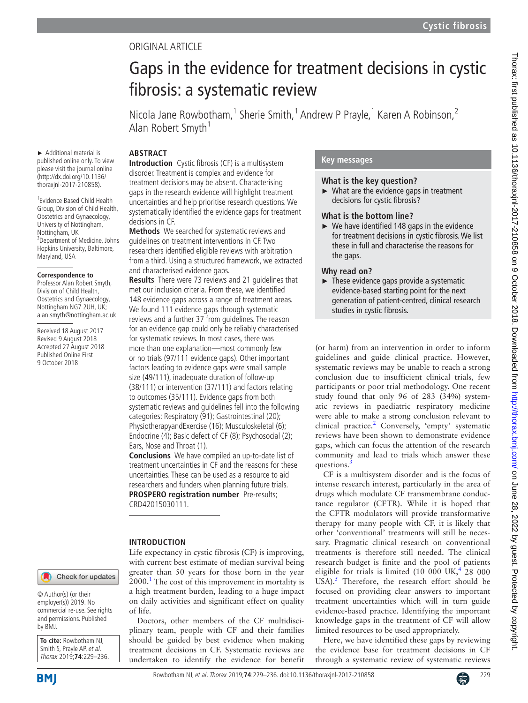# Original article

# Gaps in the evidence for treatment decisions in cystic fibrosis: a systematic review

Nicola Jane Rowbotham,<sup>1</sup> Sherie Smith,<sup>1</sup> Andrew P Prayle,<sup>1</sup> Karen A Robinson,<sup>2</sup> Alan Robert Smyth<sup>1</sup>

#### **ARSTRACT**

► Additional material is published online only. To view please visit the journal online (http://dx.doi.org/10.1136/ thoraxjnl-2017-210858).

1 Evidence Based Child Health Group, Division of Child Health, Obstetrics and Gynaecology, University of Nottingham, Nottingham, UK 2 Department of Medicine, Johns Hopkins University, Baltimore, Maryland, USA

#### **Correspondence to**

Professor Alan Robert Smyth, Division of Child Health, Obstetrics and Gynaecology, Nottingham NG7 2UH, UK; alan.smyth@nottingham.ac.uk

Received 18 August 2017 Revised 9 August 2018 Accepted 27 August 2018 Published Online First 9 October 2018

**Introduction** Cystic fibrosis (CF) is a multisystem disorder. Treatment is complex and evidence for treatment decisions may be absent. Characterising gaps in the research evidence will highlight treatment uncertainties and help prioritise research questions. We systematically identified the evidence gaps for treatment decisions in CF.

**Methods** We searched for systematic reviews and guidelines on treatment interventions in CF. Two researchers identified eligible reviews with arbitration from a third. Using a structured framework, we extracted and characterised evidence gaps.

**Results** There were 73 reviews and 21 guidelines that met our inclusion criteria. From these, we identified 148 evidence gaps across a range of treatment areas. We found 111 evidence gaps through systematic reviews and a further 37 from guidelines. The reason for an evidence gap could only be reliably characterised for systematic reviews. In most cases, there was more than one explanation—most commonly few or no trials (97/111 evidence gaps). Other important factors leading to evidence gaps were small sample size (49/111), inadequate duration of follow-up (38/111) or intervention (37/111) and factors relating to outcomes (35/111). Evidence gaps from both systematic reviews and guidelines fell into the following categories: Respiratory (91); Gastrointestinal (20); PhysiotherapyandExercise (16); Musculoskeletal (6); Endocrine (4); Basic defect of CF (8); Psychosocial (2); Ears, Nose and Throat (1).

**Conclusions** We have compiled an up-to-date list of treatment uncertainties in CF and the reasons for these uncertainties. These can be used as a resource to aid researchers and funders when planning future trials. **PROSPERO registration number** Pre-results; CRD42015030111.

### **Introduction**

Check for updates

© Author(s) (or their employer(s)) 2019. No commercial re-use. See rights and permissions. Published by BMJ.

**To cite:** Rowbotham NJ, Smith S, Prayle AP, et al. Thorax 2019;**74**:229–236.

**BMI** 

Life expectancy in cystic fibrosis (CF) is improving, with current best estimate of median survival being greater than 50 years for those born in the year  $2000$ .<sup>[1](#page-6-0)</sup> The cost of this improvement in mortality is a high treatment burden, leading to a huge impact on daily activities and significant effect on quality of life.

Doctors, other members of the CF multidisciplinary team, people with CF and their families should be guided by best evidence when making treatment decisions in CF. Systematic reviews are undertaken to identify the evidence for benefit

# **Key messages**

#### **What is the key question?**

► What are the evidence gaps in treatment decisions for cystic fibrosis?

### **What is the bottom line?**

 $\triangleright$  We have identified 148 gaps in the evidence for treatment decisions in cystic fibrosis. We list these in full and characterise the reasons for the gaps.

### **Why read on?**

 $\blacktriangleright$  These evidence gaps provide a systematic evidence-based starting point for the next generation of patient-centred, clinical research studies in cystic fibrosis.

(or harm) from an intervention in order to inform guidelines and guide clinical practice. However, systematic reviews may be unable to reach a strong conclusion due to insufficient clinical trials, few participants or poor trial methodology. One recent study found that only 96 of 283 (34%) systematic reviews in paediatric respiratory medicine were able to make a strong conclusion relevant to clinical practice.<sup>2</sup> Conversely, 'empty' systematic reviews have been shown to demonstrate evidence gaps, which can focus the attention of the research community and lead to trials which answer these questions.

CF is a multisystem disorder and is the focus of intense research interest, particularly in the area of drugs which modulate CF transmembrane conductance regulator (CFTR). While it is hoped that the CFTR modulators will provide transformative therapy for many people with CF, it is likely that other 'conventional' treatments will still be necessary. Pragmatic clinical research on conventional treatments is therefore still needed. The clinical research budget is finite and the pool of patients eligible for trials is limited  $(10\ 000\ 0K, 4\ 28\ 000)$ USA).<sup>5</sup> Therefore, the research effort should be focused on providing clear answers to important treatment uncertainties which will in turn guide evidence-based practice. Identifying the important knowledge gaps in the treatment of CF will allow limited resources to be used appropriately.

Here, we have identified these gaps by reviewing the evidence base for treatment decisions in CF through a systematic review of systematic reviews

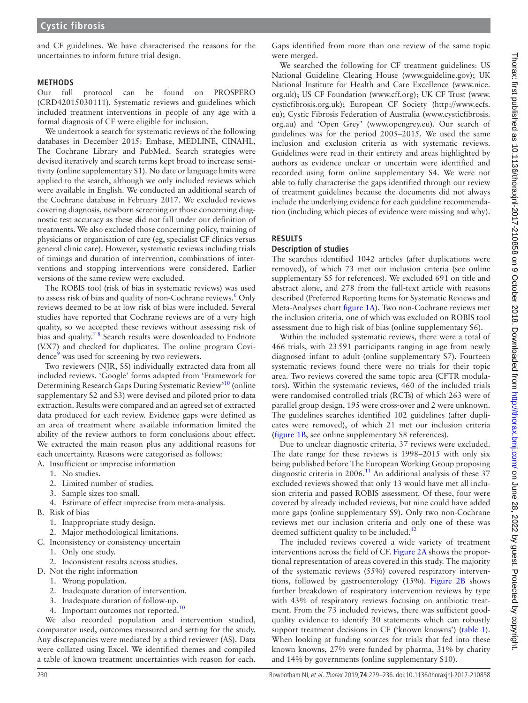and CF guidelines. We have characterised the reasons for the uncertainties to inform future trial design.

#### **Methods**

Our full protocol can be found on PROSPERO (CRD42015030111). Systematic reviews and guidelines which included treatment interventions in people of any age with a formal diagnosis of CF were eligible for inclusion.

We undertook a search for systematic reviews of the following databases in December 2015: Embase, MEDLINE, CINAHL, The Cochrane Library and PubMed. Search strategies were devised iteratively and search terms kept broad to increase sensitivity (online [supplementary S1\)](https://dx.doi.org/10.1136/thoraxjnl-2017-210858). No date or language limits were applied to the search, although we only included reviews which were available in English. We conducted an additional search of the Cochrane database in February 2017. We excluded reviews covering diagnosis, newborn screening or those concerning diagnostic test accuracy as these did not fall under our definition of treatments. We also excluded those concerning policy, training of physicians or organisation of care (eg, specialist CF clinics versus general clinic care). However, systematic reviews including trials of timings and duration of intervention, combinations of interventions and stopping interventions were considered. Earlier versions of the same review were excluded.

The ROBIS tool (risk of bias in systematic reviews) was used to assess risk of bias and quality of non-Cochrane reviews.<sup>[6](#page-6-5)</sup> Only reviews deemed to be at low risk of bias were included. Several studies have reported that Cochrane reviews are of a very high quality, so we accepted these reviews without assessing risk of bias and quality.<sup>78</sup> Search results were downloaded to Endnote (V.X7) and checked for duplicates. The online program Covi-dence<sup>[9](#page-6-7)</sup> was used for screening by two reviewers.

Two reviewers (NJR, SS) individually extracted data from all included reviews. 'Google' forms adapted from 'Framework for Determining Research Gaps During Systematic Review'[10](#page-6-8) (online [supplementary S2 and S3](https://dx.doi.org/10.1136/thoraxjnl-2017-210858)) were devised and piloted prior to data extraction. Results were compared and an agreed set of extracted data produced for each review. Evidence gaps were defined as an area of treatment where available information limited the ability of the review authors to form conclusions about effect. We extracted the main reason plus any additional reasons for each uncertainty. Reasons were categorised as follows:

A. Insufficient or imprecise information

- 1. No studies.
- 2. Limited number of studies.
- 3. Sample sizes too small.
- 4. Estimate of effect imprecise from meta-analysis.
- B. Risk of bias
	- 1. Inappropriate study design.
	- 2. Major methodological limitations.
- C. Inconsistency or consistency uncertain
	- 1. Only one study.
	- 2. Inconsistent results across studies.
- D. Not the right information
	- 1. Wrong population.
	- 2. Inadequate duration of intervention.
	- 3. Inadequate duration of follow-up.
	- 4. Important outcomes not reported.<sup>10</sup>

We also recorded population and intervention studied, comparator used, outcomes measured and setting for the study. Any discrepancies were mediated by a third reviewer (AS). Data were collated using Excel. We identified themes and compiled a table of known treatment uncertainties with reason for each.

Gaps identified from more than one review of the same topic were merged.

We searched the following for CF treatment guidelines: US National Guideline Clearing House (<www.guideline.gov>); UK National Institute for Health and Care Excellence [\(www.nice.](www.nice.org.uk) [org.uk\)](www.nice.org.uk); US CF Foundation ([www.cff.org\)](www.cff.org); UK CF Trust [\(www.](www.cysticfibrosis.org.uk) [cysticfibrosis.org.uk](www.cysticfibrosis.org.uk)); European CF Society [\(http://www.ecfs.](http://www.ecfs.eu) [eu\)](http://www.ecfs.eu); Cystic Fibrosis Federation of Australia ([www.cysticfibrosis.](www.cysticfibrosis.org.au) [org.au](www.cysticfibrosis.org.au)) and 'Open Grey' (<www.opengrey.eu>). Our search of guidelines was for the period 2005–2015. We used the same inclusion and exclusion criteria as with systematic reviews. Guidelines were read in their entirety and areas highlighted by authors as evidence unclear or uncertain were identified and recorded using form online [supplementary S4](https://dx.doi.org/10.1136/thoraxjnl-2017-210858). We were not able to fully characterise the gaps identified through our review of treatment guidelines because the documents did not always include the underlying evidence for each guideline recommendation (including which pieces of evidence were missing and why).

# **Results**

# **Description of studies**

The searches identified 1042 articles (after duplications were removed), of which 73 met our inclusion criteria (see online [supplementary S5 for references](https://dx.doi.org/10.1136/thoraxjnl-2017-210858)). We excluded 691 on title and abstract alone, and 278 from the full-text article with reasons described (Preferred Reporting Items for Systematic Reviews and Meta-Analyses chart [figure](#page-2-0) 1A). Two non-Cochrane reviews met the inclusion criteria, one of which was excluded on ROBIS tool assessment due to high risk of bias (online [supplementary S6\)](https://dx.doi.org/10.1136/thoraxjnl-2017-210858).

Within the included systematic reviews, there were a total of 466 trials, with 23591 participants ranging in age from newly diagnosed infant to adult (online [supplementary S7\)](https://dx.doi.org/10.1136/thoraxjnl-2017-210858). Fourteen systematic reviews found there were no trials for their topic area. Two reviews covered the same topic area (CFTR modulators). Within the systematic reviews, 460 of the included trials were randomised controlled trials (RCTs) of which 263 were of parallel group design, 195 were cross-over and 2 were unknown. The guidelines searches identified 102 guidelines (after duplicates were removed), of which 21 met our inclusion criteria ([figure](#page-2-0) 1B, see online [supplementary S8 references](https://dx.doi.org/10.1136/thoraxjnl-2017-210858)).

Due to unclear diagnostic criteria, 37 reviews were excluded. The date range for these reviews is 1998–2015 with only six being published before The European Working Group proposing diagnostic criteria in 2006.<sup>11</sup> An additional analysis of these 37 excluded reviews showed that only 13 would have met all inclusion criteria and passed ROBIS assessment. Of these, four were covered by already included reviews, but nine could have added more gaps (online [supplementary S9](https://dx.doi.org/10.1136/thoraxjnl-2017-210858)). Only two non-Cochrane reviews met our inclusion criteria and only one of these was deemed sufficient quality to be included.<sup>12</sup>

The included reviews covered a wide variety of treatment interventions across the field of CF. [Figure](#page-3-0) 2A shows the proportional representation of areas covered in this study. The majority of the systematic reviews (55%) covered respiratory interventions, followed by gastroenterology (15%). [Figure](#page-3-0) 2B shows further breakdown of respiratory intervention reviews by type with 43% of respiratory reviews focusing on antibiotic treatment. From the 73 included reviews, there was sufficient goodquality evidence to identify 30 statements which can robustly support treatment decisions in CF ('known knowns') ([table](#page-4-0) 1). When looking at funding sources for trials that fed into these known knowns, 27% were funded by pharma, 31% by charity and 14% by governments (online [supplementary S10\)](https://dx.doi.org/10.1136/thoraxjnl-2017-210858).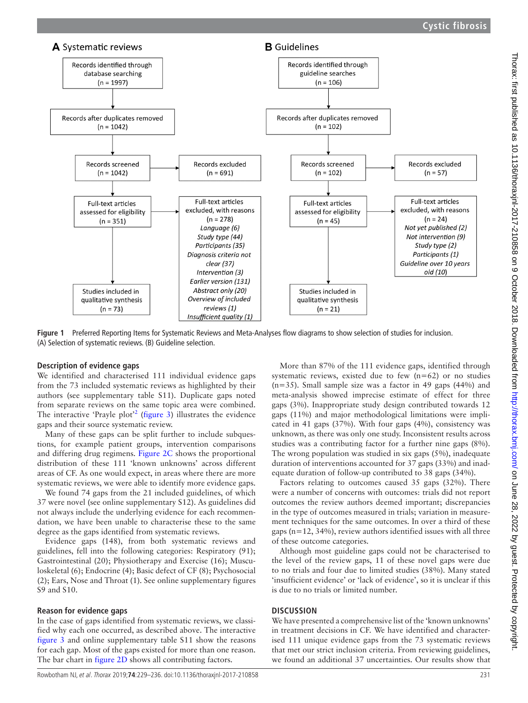

<span id="page-2-0"></span>**Figure 1** Preferred Reporting Items for Systematic Reviews and Meta-Analyses flow diagrams to show selection of studies for inclusion. (A) Selection of systematic reviews. (B) Guideline selection.

### **Description of evidence gaps**

We identified and characterised 111 individual evidence gaps from the 73 included systematic reviews as highlighted by their authors (see [supplementary table S11](https://dx.doi.org/10.1136/thoraxjnl-2017-210858)). Duplicate gaps noted from separate reviews on the same topic area were combined. The interactive 'Prayle plot<sup>[2](#page-6-1)2</sup> ([figure](#page-5-0) 3) illustrates the evidence gaps and their source systematic review.

Many of these gaps can be split further to include subquestions, for example patient groups, intervention comparisons and differing drug regimens. [Figure](#page-3-0) 2C shows the proportional distribution of these 111 'known unknowns' across different areas of CF. As one would expect, in areas where there are more systematic reviews, we were able to identify more evidence gaps.

We found 74 gaps from the 21 included guidelines, of which 37 were novel (see online [supplementary S12\)](https://dx.doi.org/10.1136/thoraxjnl-2017-210858). As guidelines did not always include the underlying evidence for each recommendation, we have been unable to characterise these to the same degree as the gaps identified from systematic reviews.

Evidence gaps (148), from both systematic reviews and guidelines, fell into the following categories: Respiratory (91); Gastrointestinal (20); Physiotherapy and Exercise (16); Musculoskeletal (6); Endocrine (4); Basic defect of CF (8); Psychosocial (2); Ears, Nose and Throat (1). See online [supplementary figures](https://dx.doi.org/10.1136/thoraxjnl-2017-210858)  [S9 and S10](https://dx.doi.org/10.1136/thoraxjnl-2017-210858).

#### **Reason for evidence gaps**

In the case of gaps identified from systematic reviews, we classified why each one occurred, as described above. The interactive [figure](#page-5-0) 3 and online [supplementary table S11](https://dx.doi.org/10.1136/thoraxjnl-2017-210858) show the reasons for each gap. Most of the gaps existed for more than one reason. The bar chart in [figure](#page-3-0) 2D shows all contributing factors.

More than 87% of the 111 evidence gaps, identified through systematic reviews, existed due to few  $(n=62)$  or no studies (n=35). Small sample size was a factor in 49 gaps (44%) and meta-analysis showed imprecise estimate of effect for three gaps (3%). Inappropriate study design contributed towards 12 gaps (11%) and major methodological limitations were implicated in 41 gaps (37%). With four gaps (4%), consistency was unknown, as there was only one study. Inconsistent results across studies was a contributing factor for a further nine gaps (8%). The wrong population was studied in six gaps (5%), inadequate duration of interventions accounted for 37 gaps (33%) and inadequate duration of follow-up contributed to 38 gaps (34%).

Factors relating to outcomes caused 35 gaps (32%). There were a number of concerns with outcomes: trials did not report outcomes the review authors deemed important; discrepancies in the type of outcomes measured in trials; variation in measurement techniques for the same outcomes. In over a third of these gaps ( $n=12$ , 34%), review authors identified issues with all three of these outcome categories.

Although most guideline gaps could not be characterised to the level of the review gaps, 11 of these novel gaps were due to no trials and four due to limited studies (38%). Many stated 'insufficient evidence' or 'lack of evidence', so it is unclear if this is due to no trials or limited number.

### **Discussion**

We have presented a comprehensive list of the 'known unknowns' in treatment decisions in CF. We have identified and characterised 111 unique evidence gaps from the 73 systematic reviews that met our strict inclusion criteria. From reviewing guidelines, we found an additional 37 uncertainties. Our results show that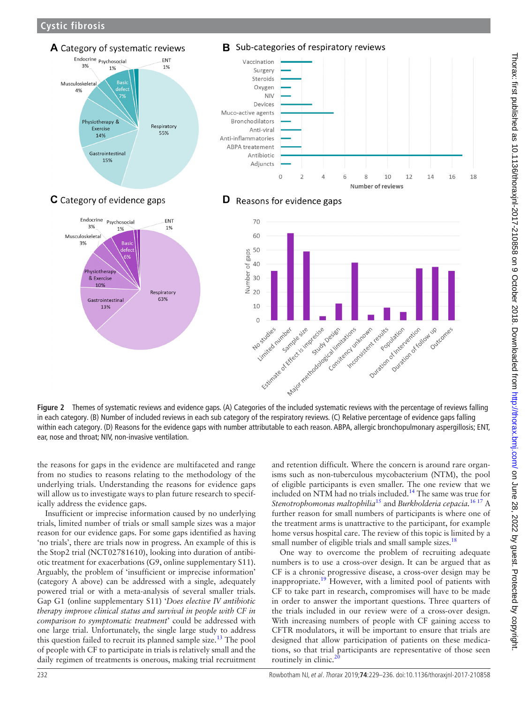**Cystic fibrosis**



<span id="page-3-0"></span>in each category. (B) Number of included reviews in each sub category of the respiratory reviews. (C) Relative percentage of evidence gaps falling within each category. (D) Reasons for the evidence gaps with number attributable to each reason. ABPA, allergic bronchopulmonary aspergillosis; ENT, ear, nose and throat; NIV, non-invasive ventilation.

the reasons for gaps in the evidence are multifaceted and range from no studies to reasons relating to the methodology of the underlying trials. Understanding the reasons for evidence gaps will allow us to investigate ways to plan future research to specifically address the evidence gaps.

Insufficient or imprecise information caused by no underlying trials, limited number of trials or small sample sizes was a major reason for our evidence gaps. For some gaps identified as having 'no trials', there are trials now in progress. An example of this is the Stop2 trial (NCT02781610), looking into duration of antibiotic treatment for exacerbations (G9, online [supplementary S11](https://dx.doi.org/10.1136/thoraxjnl-2017-210858)). Arguably, the problem of 'insufficient or imprecise information' (category A above) can be addressed with a single, adequately powered trial or with a meta-analysis of several smaller trials. Gap G1 (online [supplementary S11\)](https://dx.doi.org/10.1136/thoraxjnl-2017-210858) '*Does elective IV antibiotic therapy improve clinical status and survival in people with CF in comparison to symptomatic treatment*' could be addressed with one large trial. Unfortunately, the single large study to address this question failed to recruit its planned sample size.<sup>13</sup> The pool of people with CF to participate in trials is relatively small and the daily regimen of treatments is onerous, making trial recruitment

and retention difficult. Where the concern is around rare organisms such as non-tuberculous mycobacterium (NTM), the pool of eligible participants is even smaller. The one review that we included on NTM had no trials included.[14](#page-6-12) The same was true for *Stenotrophomonas maltophilia*[15](#page-6-13) and *Burkholderia cepacia.*[16 17](#page-6-14) A further reason for small numbers of participants is where one of the treatment arms is unattractive to the participant, for example home versus hospital care. The review of this topic is limited by a small number of eligible trials and small sample sizes.<sup>18</sup>

One way to overcome the problem of recruiting adequate numbers is to use a cross-over design. It can be argued that as CF is a chronic progressive disease, a cross-over design may be inappropriate.<sup>[19](#page-6-16)</sup> However, with a limited pool of patients with CF to take part in research, compromises will have to be made in order to answer the important questions. Three quarters of the trials included in our review were of a cross-over design. With increasing numbers of people with CF gaining access to CFTR modulators, it will be important to ensure that trials are designed that allow participation of patients on these medications, so that trial participants are representative of those seen routinely in clinic.<sup>2</sup>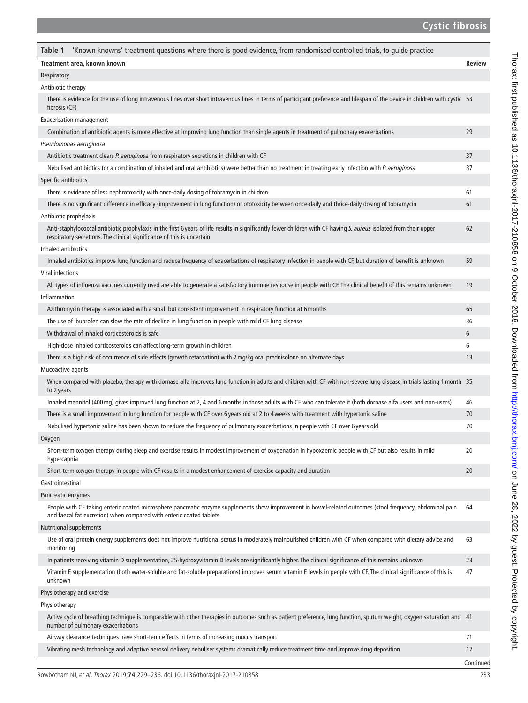<span id="page-4-0"></span>

| 'Known knowns' treatment questions where there is good evidence, from randomised controlled trials, to guide practice<br>Table 1                                                                                                             |               |
|----------------------------------------------------------------------------------------------------------------------------------------------------------------------------------------------------------------------------------------------|---------------|
| Treatment area, known known                                                                                                                                                                                                                  | <b>Review</b> |
| Respiratory                                                                                                                                                                                                                                  |               |
| Antibiotic therapy                                                                                                                                                                                                                           |               |
| There is evidence for the use of long intravenous lines over short intravenous lines in terms of participant preference and lifespan of the device in children with cystic 53<br>fibrosis (CF)                                               |               |
| Exacerbation management                                                                                                                                                                                                                      |               |
| Combination of antibiotic agents is more effective at improving lung function than single agents in treatment of pulmonary exacerbations                                                                                                     | 29            |
| Pseudomonas aeruginosa                                                                                                                                                                                                                       |               |
| Antibiotic treatment clears P. aeruginosa from respiratory secretions in children with CF                                                                                                                                                    | 37            |
| Nebulised antibiotics (or a combination of inhaled and oral antibiotics) were better than no treatment in treating early infection with P. aeruginosa                                                                                        | 37            |
| Specific antibiotics                                                                                                                                                                                                                         |               |
| There is evidence of less nephrotoxicity with once-daily dosing of tobramycin in children                                                                                                                                                    | 61            |
| There is no significant difference in efficacy (improvement in lung function) or ototoxicity between once-daily and thrice-daily dosing of tobramycin                                                                                        | 61            |
| Antibiotic prophylaxis                                                                                                                                                                                                                       |               |
| Anti-staphylococcal antibiotic prophylaxis in the first 6 years of life results in significantly fewer children with CF having S. aureus isolated from their upper<br>respiratory secretions. The clinical significance of this is uncertain | 62            |
| Inhaled antibiotics                                                                                                                                                                                                                          |               |
| Inhaled antibiotics improve lung function and reduce frequency of exacerbations of respiratory infection in people with CF, but duration of benefit is unknown                                                                               | 59            |
| Viral infections                                                                                                                                                                                                                             |               |
| All types of influenza vaccines currently used are able to generate a satisfactory immune response in people with CF. The clinical benefit of this remains unknown                                                                           | 19            |
| Inflammation                                                                                                                                                                                                                                 |               |
| Azithromycin therapy is associated with a small but consistent improvement in respiratory function at 6 months                                                                                                                               | 65            |
| The use of ibuprofen can slow the rate of decline in lung function in people with mild CF lung disease                                                                                                                                       | 36            |
| Withdrawal of inhaled corticosteroids is safe                                                                                                                                                                                                | 6             |
| High-dose inhaled corticosteroids can affect long-term growth in children                                                                                                                                                                    | 6             |
| There is a high risk of occurrence of side effects (growth retardation) with 2 mg/kg oral prednisolone on alternate days                                                                                                                     | 13            |
| Mucoactive agents                                                                                                                                                                                                                            |               |
| When compared with placebo, therapy with dornase alfa improves lung function in adults and children with CF with non-severe lung disease in trials lasting 1 month 35<br>to 2 years                                                          |               |
| Inhaled mannitol (400 mg) gives improved lung function at 2, 4 and 6 months in those adults with CF who can tolerate it (both dornase alfa users and non-users)                                                                              | 46            |
| There is a small improvement in lung function for people with CF over 6 years old at 2 to 4 weeks with treatment with hypertonic saline                                                                                                      | 70            |
| Nebulised hypertonic saline has been shown to reduce the frequency of pulmonary exacerbations in people with CF over 6 years old                                                                                                             | 70            |
| Oxygen                                                                                                                                                                                                                                       |               |
| Short-term oxygen therapy during sleep and exercise results in modest improvement of oxygenation in hypoxaemic people with CF but also results in mild<br>hypercapnia                                                                        | 20            |
| Short-term oxygen therapy in people with CF results in a modest enhancement of exercise capacity and duration                                                                                                                                | 20            |
| Gastrointestinal                                                                                                                                                                                                                             |               |
| Pancreatic enzymes                                                                                                                                                                                                                           |               |
| People with CF taking enteric coated microsphere pancreatic enzyme supplements show improvement in bowel-related outcomes (stool frequency, abdominal pain<br>and faecal fat excretion) when compared with enteric coated tablets            | 64            |
| <b>Nutritional supplements</b>                                                                                                                                                                                                               |               |
| Use of oral protein energy supplements does not improve nutritional status in moderately malnourished children with CF when compared with dietary advice and<br>monitoring                                                                   | 63            |
| In patients receiving vitamin D supplementation, 25-hydroxyvitamin D levels are significantly higher. The clinical significance of this remains unknown                                                                                      | 23            |
| Vitamin E supplementation (both water-soluble and fat-soluble preparations) improves serum vitamin E levels in people with CF. The clinical significance of this is<br>unknown                                                               | 47            |
| Physiotherapy and exercise                                                                                                                                                                                                                   |               |
| Physiotherapy                                                                                                                                                                                                                                |               |
| Active cycle of breathing technique is comparable with other therapies in outcomes such as patient preference, lung function, sputum weight, oxygen saturation and 41<br>number of pulmonary exacerbations                                   |               |
| Airway clearance techniques have short-term effects in terms of increasing mucus transport                                                                                                                                                   | 71            |
| Vibrating mesh technology and adaptive aerosol delivery nebuliser systems dramatically reduce treatment time and improve drug deposition                                                                                                     | 17            |
|                                                                                                                                                                                                                                              | Continued     |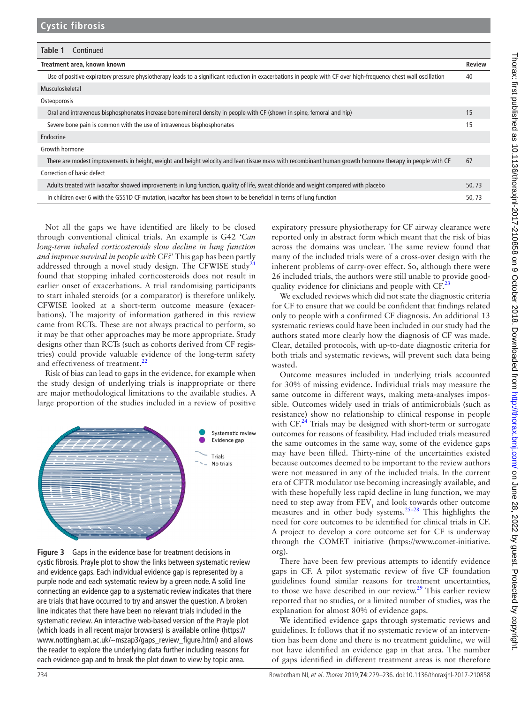| Table 1<br>Continued                                                                                                                                             |               |
|------------------------------------------------------------------------------------------------------------------------------------------------------------------|---------------|
| Treatment area, known known                                                                                                                                      | <b>Review</b> |
| Use of positive expiratory pressure physiotherapy leads to a significant reduction in exacerbations in people with CF over high-frequency chest wall oscillation | 40            |
| Musculoskeletal                                                                                                                                                  |               |
| Osteoporosis                                                                                                                                                     |               |
| Oral and intravenous bisphosphonates increase bone mineral density in people with CF (shown in spine, femoral and hip)                                           | 15            |
| Severe bone pain is common with the use of intravenous bisphosphonates                                                                                           | 15            |
| Endocrine                                                                                                                                                        |               |
| Growth hormone                                                                                                                                                   |               |
| There are modest improvements in height, weight and height velocity and lean tissue mass with recombinant human growth hormone therapy in people with CF         | 67            |
| Correction of basic defect                                                                                                                                       |               |
| Adults treated with ivacaftor showed improvements in lung function, quality of life, sweat chloride and weight compared with placebo                             | 50, 73        |
| In children over 6 with the G551D CF mutation, ivacaftor has been shown to be beneficial in terms of lung function                                               | 50, 73        |

Not all the gaps we have identified are likely to be closed through conventional clinical trials. An example is G42 '*Can long-term inhaled corticosteroids slow decline in lung function and improve survival in people with CF?*' This gap has been partly addressed through a novel study design. The CFWISE study<sup>[21](#page-6-18)</sup> found that stopping inhaled corticosteroids does not result in earlier onset of exacerbations. A trial randomising participants to start inhaled steroids (or a comparator) is therefore unlikely. CFWISE looked at a short-term outcome measure (exacerbations). The majority of information gathered in this review came from RCTs. These are not always practical to perform, so it may be that other approaches may be more appropriate. Study designs other than RCTs (such as cohorts derived from CF registries) could provide valuable evidence of the long-term safety and effectiveness of treatment.<sup>[22](#page-6-19)</sup>

Risk of bias can lead to gaps in the evidence, for example when the study design of underlying trials is inappropriate or there are major methodological limitations to the available studies. A large proportion of the studies included in a review of positive



<span id="page-5-0"></span>**Figure 3** Gaps in the evidence base for treatment decisions in cystic fibrosis. Prayle plot to show the links between systematic review and evidence gaps. Each individual evidence gap is represented by a purple node and each systematic review by a green node. A solid line connecting an evidence gap to a systematic review indicates that there are trials that have occurred to try and answer the question. A broken line indicates that there have been no relevant trials included in the systematic review. An interactive web-based version of the Prayle plot (which loads in all recent major browsers) is available online ([https://](https://www.nottingham.ac.uk/~mszap3/gaps_review_figure.html) [www.nottingham.ac.uk/~mszap3/gaps\\_review\\_figure.html\)](https://www.nottingham.ac.uk/~mszap3/gaps_review_figure.html) and allows the reader to explore the underlying data further including reasons for each evidence gap and to break the plot down to view by topic area.

expiratory pressure physiotherapy for CF airway clearance were reported only in abstract form which meant that the risk of bias across the domains was unclear. The same review found that many of the included trials were of a cross-over design with the inherent problems of carry-over effect. So, although there were 26 included trials, the authors were still unable to provide goodquality evidence for clinicians and people with  $CF<sup>23</sup>$  $CF<sup>23</sup>$  $CF<sup>23</sup>$ 

We excluded reviews which did not state the diagnostic criteria for CF to ensure that we could be confident that findings related only to people with a confirmed CF diagnosis. An additional 13 systematic reviews could have been included in our study had the authors stated more clearly how the diagnosis of CF was made. Clear, detailed protocols, with up-to-date diagnostic criteria for both trials and systematic reviews, will prevent such data being wasted.

Outcome measures included in underlying trials accounted for 30% of missing evidence. Individual trials may measure the same outcome in different ways, making meta-analyses impossible. Outcomes widely used in trials of antimicrobials (such as resistance) show no relationship to clinical response in people with CF.<sup>24</sup> Trials may be designed with short-term or surrogate outcomes for reasons of feasibility. Had included trials measured the same outcomes in the same way, some of the evidence gaps may have been filled. Thirty-nine of the uncertainties existed because outcomes deemed to be important to the review authors were not measured in any of the included trials. In the current era of CFTR modulator use becoming increasingly available, and with these hopefully less rapid decline in lung function, we may need to step away from  $\text{FEV}_1$  and look towards other outcome measures and in other body systems.[25–28](#page-7-0) This highlights the need for core outcomes to be identified for clinical trials in CF. A project to develop a core outcome set for CF is underway through the COMET initiative [\(https://www.comet-initiative.](https://www.comet-initiative.org) [org\)](https://www.comet-initiative.org).

There have been few previous attempts to identify evidence gaps in CF. A pilot systematic review of five CF foundation guidelines found similar reasons for treatment uncertainties, to those we have described in our review.<sup>29</sup> This earlier review reported that no studies, or a limited number of studies, was the explanation for almost 80% of evidence gaps.

We identified evidence gaps through systematic reviews and guidelines. It follows that if no systematic review of an intervention has been done and there is no treatment guideline, we will not have identified an evidence gap in that area. The number of gaps identified in different treatment areas is not therefore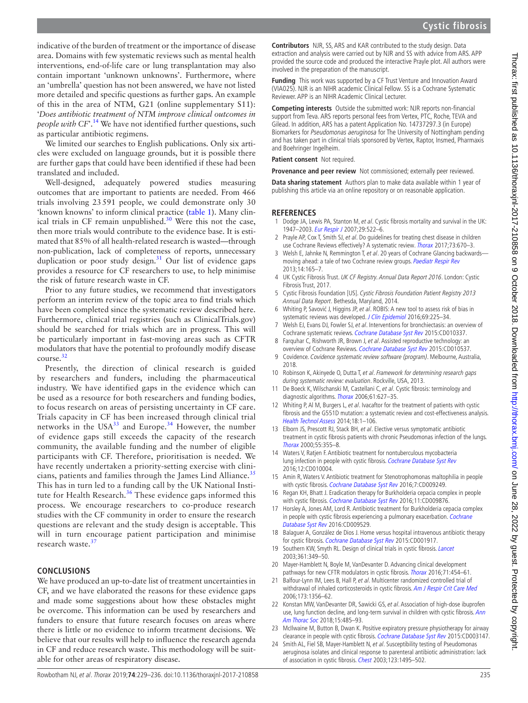indicative of the burden of treatment or the importance of disease area. Domains with few systematic reviews such as mental health interventions, end-of-life care or lung transplantation may also contain important 'unknown unknowns'. Furthermore, where an 'umbrella' question has not been answered, we have not listed more detailed and specific questions as further gaps. An example of this in the area of NTM, G21 (online [supplementary S11\)](https://dx.doi.org/10.1136/thoraxjnl-2017-210858): '*Does antibiotic treatment of NTM improve clinical outcomes in people with CF*<sup>'.[14](#page-6-12)</sup> We have not identified further questions, such as particular antibiotic regimens.

We limited our searches to English publications. Only six articles were excluded on language grounds, but it is possible there are further gaps that could have been identified if these had been translated and included.

Well-designed, adequately powered studies measuring outcomes that are important to patients are needed. From 466 trials involving 23591 people, we could demonstrate only 30 'known knowns' to inform clinical practice ([table](#page-4-0) 1). Many clinical trials in CF remain unpublished. $30$  Were this not the case, then more trials would contribute to the evidence base. It is estimated that 85% of all health-related research is wasted—through non-publication, lack of completeness of reports, unnecessary duplication or poor study design. $31$  Our list of evidence gaps provides a resource for CF researchers to use, to help minimise the risk of future research waste in CF.

Prior to any future studies, we recommend that investigators perform an interim review of the topic area to find trials which have been completed since the systematic review described here. Furthermore, clinical trial registries (such as ClinicalTrials.gov) should be searched for trials which are in progress. This will be particularly important in fast-moving areas such as CFTR modulators that have the potential to profoundly modify disease course.[32](#page-7-4)

Presently, the direction of clinical research is guided by researchers and funders, including the pharmaceutical industry. We have identified gaps in the evidence which can be used as a resource for both researchers and funding bodies, to focus research on areas of persisting uncertainty in CF care. Trials capacity in CF has been increased through clinical trial networks in the  $USA^{33}$  and Europe.<sup>34</sup> However, the number of evidence gaps still exceeds the capacity of the research community, the available funding and the number of eligible participants with CF. Therefore, prioritisation is needed. We have recently undertaken a priority-setting exercise with clinicians, patients and families through the James Lind Alliance. $35$ This has in turn led to a funding call by the UK National Insti-tute for Health Research.<sup>[36](#page-7-8)</sup> These evidence gaps informed this process. We encourage researchers to co-produce research studies with the CF community in order to ensure the research questions are relevant and the study design is acceptable. This will in turn encourage patient participation and minimise research waste.<sup>3</sup>

### **Conclusions**

We have produced an up-to-date list of treatment uncertainties in CF, and we have elaborated the reasons for these evidence gaps and made some suggestions about how these obstacles might be overcome. This information can be used by researchers and funders to ensure that future research focuses on areas where there is little or no evidence to inform treatment decisions. We believe that our results will help to influence the research agenda in CF and reduce research waste. This methodology will be suitable for other areas of respiratory disease.

**Contributors** NJR, SS, ARS and KAR contributed to the study design. Data extraction and analysis were carried out by NJR and SS with advice from ARS. APP provided the source code and produced the interactive Prayle plot. All authors were involved in the preparation of the manuscript.

**Funding** This work was supported by a CF Trust Venture and Innovation Award (VIA025). NJR is an NIHR academic Clinical Fellow. SS is a Cochrane Systematic Reviewer. APP is an NIHR Academic Clinical Lecturer.

**Competing interests** Outside the submitted work: NJR reports non-financial support from Teva. ARS reports personal fees from Vertex, PTC, Roche, TEVA and Gilead. In addition, ARS has a patent Application No. 14737297.3 (in Europe) Biomarkers for Pseudomonas aeruginosa for The University of Nottingham pending and has taken part in clinical trials sponsored by Vertex, Raptor, Insmed, Pharmaxis and Boehringer Ingelheim.

**Patient consent** Not required.

**Provenance and peer review** Not commissioned; externally peer reviewed.

**Data sharing statement** Authors plan to make data available within 1 year of publishing this article via an online repository or on reasonable application.

#### **References**

- <span id="page-6-0"></span>1 Dodge JA, Lewis PA, Stanton M, et al. Cystic fibrosis mortality and survival in the UK: 1947-2003. [Eur Respir J](http://dx.doi.org/10.1183/09031936.00099506) 2007;29:522-6.
- <span id="page-6-1"></span>2 Prayle AP, Cox T, Smith SJ, et al. Do guidelines for treating chest disease in children use Cochrane Reviews effectively? A systematic review. [Thorax](http://dx.doi.org/10.1136/thoraxjnl-2016-208790) 2017;73:670-3.
- <span id="page-6-2"></span>3 Welsh E, Jahnke N, Remmington T, et al. 20 years of Cochrane Glancing backwards-moving ahead: a tale of two Cochrane review groups. [Paediatr Respir Rev](http://dx.doi.org/10.1016/j.prrv.2013.05.004) 2013;14:165–7.
- <span id="page-6-3"></span>4 UK Cystic Fibrosis Trust. UK CF Registry. Annual Data Report 2016. London: Cystic Fibrosis Trust, 2017.
- <span id="page-6-4"></span>5 Cystic Fibrosis Foundation [US]. Cystic Fibrosis Foundation Patient Registry 2013 Annual Data Report. Bethesda, Maryland, 2014.
- <span id="page-6-5"></span>6 Whiting P, Savović J, Higgins JP, et al. ROBIS: A new tool to assess risk of bias in systematic reviews was developed. [J Clin Epidemiol](http://dx.doi.org/10.1016/j.jclinepi.2015.06.005) 2016;69:225-34.
- <span id="page-6-6"></span>7 Welsh EJ, Evans DJ, Fowler SJ, et al. Interventions for bronchiectasis: an overview of Cochrane systematic reviews. [Cochrane Database Syst Rev](http://dx.doi.org/10.1002/14651858.CD010337.pub2) 2015:CD010337.
- 8 Farquhar C, Rishworth JR, Brown J, et al. Assisted reproductive technology: an overview of Cochrane Reviews. [Cochrane Database Syst Rev](http://dx.doi.org/10.1002/14651858.CD010537.pub4) 2015:CD010537.
- <span id="page-6-7"></span>9 Covidence. Covidence systematic review software (program). Melbourne, Australia, 2018.
- <span id="page-6-8"></span>10 Robinson K, Akinyede O, Dutta T, et al. Framework for determining research gaps during systematic review: evaluation. Rockville, USA, 2013.
- <span id="page-6-9"></span>11 De Boeck K, Wilschanski M, Castellani C, et al. Cystic fibrosis: terminology and diagnostic algorithms. [Thorax](http://dx.doi.org/10.1136/thx.2005.043539) 2006;61:627-35.
- <span id="page-6-10"></span>12 Whiting P, Al M, Burgers L, et al. Ivacaftor for the treatment of patients with cystic fibrosis and the G551D mutation: a systematic review and cost-effectiveness analysis. [Health Technol Assess](http://dx.doi.org/10.3310/hta18180) 2014;18:1–106.
- <span id="page-6-11"></span>13 Elborn JS, Prescott RJ, Stack BH, et al. Elective versus symptomatic antibiotic treatment in cystic fibrosis patients with chronic Pseudomonas infection of the lungs. [Thorax](http://dx.doi.org/10.1136/thorax.55.5.355) 2000;55:355–8.
- <span id="page-6-12"></span>14 Waters V, Ratjen F. Antibiotic treatment for nontuberculous mycobacteria lung infection in people with cystic fibrosis. [Cochrane Database Syst Rev](http://dx.doi.org/10.1002/14651858.CD010004.pub4) 2016;12:CD010004.
- <span id="page-6-13"></span>15 Amin R, Waters V. Antibiotic treatment for Stenotrophomonas maltophilia in people with cystic fibrosis. [Cochrane Database Syst Rev](http://dx.doi.org/10.1002/14651858.CD009249.pub4) 2016;7:CD009249.
- <span id="page-6-14"></span>16 Regan KH, Bhatt J. Eradication therapy for Burkholderia cepacia complex in people with cystic fibrosis. [Cochrane Database Syst Rev](http://dx.doi.org/10.1002/14651858.CD009876.pub3) 2016;11:CD009876.
- 17 Horsley A, Jones AM, Lord R. Antibiotic treatment for Burkholderia cepacia complex in people with cystic fibrosis experiencing a pulmonary exacerbation. Cochrane [Database Syst Rev](http://dx.doi.org/10.1002/14651858.CD009529.pub3) 2016:CD009529.
- <span id="page-6-15"></span>18 Balaguer A, González de Dios J. Home versus hospital intravenous antibiotic therapy for cystic fibrosis. [Cochrane Database Syst Rev](http://dx.doi.org/10.1002/14651858.CD001917.pub4) 2015:CD001917.
- <span id="page-6-16"></span>19 Southern KW, Smyth RL. Design of clinical trials in cystic fibrosis. [Lancet](http://dx.doi.org/10.1016/S0140-6736(03)12352-5)
- <span id="page-6-17"></span>2003;361:349–50. 20 Mayer-Hamblett N, Boyle M, VanDevanter D. Advancing clinical development
- <span id="page-6-18"></span>pathways for new CFTR modulators in cystic fibrosis. [Thorax](http://dx.doi.org/10.1136/thoraxjnl-2015-208123) 2016;71:454-61. 21 Balfour-Lynn IM, Lees B, Hall P, et al. Multicenter randomized controlled trial of withdrawal of inhaled corticosteroids in cystic fibrosis. [Am J Respir Crit Care Med](http://dx.doi.org/10.1164/rccm.200511-1808OC)
- <span id="page-6-19"></span>2006;173:1356–62. 22 Konstan MW, VanDevanter DR, Sawicki GS, et al. Association of high-dose ibuprofen use, lung function decline, and long-term survival in children with cystic fibrosis. Ann [Am Thorac Soc](http://dx.doi.org/10.1513/AnnalsATS.201706-486OC) 2018;15:485–93.
- <span id="page-6-20"></span>23 McIlwaine M, Button B, Dwan K. Positive expiratory pressure physiotherapy for airway clearance in people with cystic fibrosis. [Cochrane Database Syst Rev](http://dx.doi.org/10.1002/14651858.CD003147.pub4) 2015:CD003147.
- <span id="page-6-21"></span>24 Smith AL, Fiel SB, Mayer-Hamblett N, et al. Susceptibility testing of Pseudomonas aeruginosa isolates and clinical response to parenteral antibiotic administration: lack of association in cystic fibrosis. [Chest](http://dx.doi.org/10.1378/chest.123.5.1495) 2003;123:1495-502.